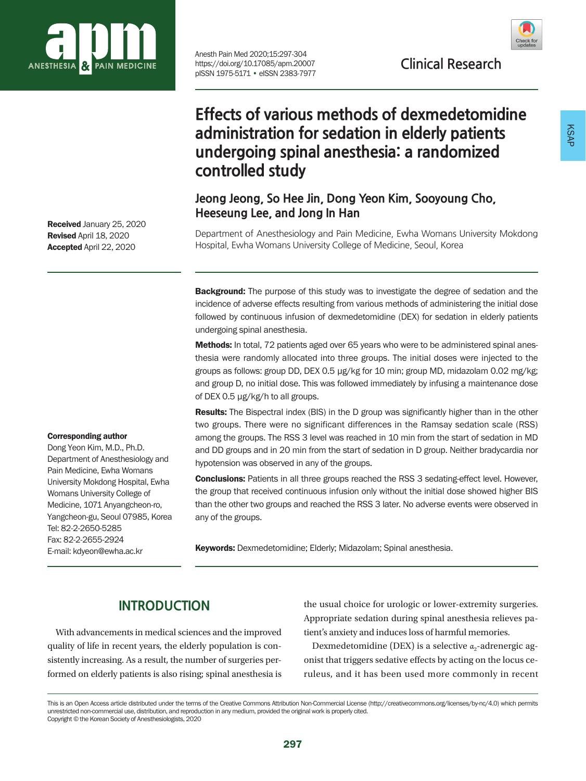

Received January 25, 2020 Revised April 18, 2020 Accepted April 22, 2020

#### Corresponding author

Dong Yeon Kim, M.D., Ph.D. Department of Anesthesiology and Pain Medicine, Ewha Womans University Mokdong Hospital, Ewha Womans University College of Medicine, 1071 Anyangcheon-ro, Yangcheon-gu, Seoul 07985, Korea Tel: 82-2-2650-5285 Fax: 82-2-2655-2924 E-mail: kdyeon@ewha.ac.kr

Anesth Pain Med 2020;15:297-304<br>https://doi.org/10.17085/apm.20007 **Clinical Research** https://doi.org/10.17085/apm.20007 pISSN 1975-5171 • eISSN 2383-7977



# **Effects of various methods of dexmedetomidine administration for sedation in elderly patients undergoing spinal anesthesia: a randomized controlled study**

## **Jeong Jeong, So Hee Jin, Dong Yeon Kim, Sooyoung Cho, Heeseung Lee, and Jong In Han**

Department of Anesthesiology and Pain Medicine, Ewha Womans University Mokdong Hospital, Ewha Womans University College of Medicine, Seoul, Korea

**Background:** The purpose of this study was to investigate the degree of sedation and the incidence of adverse effects resulting from various methods of administering the initial dose followed by continuous infusion of dexmedetomidine (DEX) for sedation in elderly patients undergoing spinal anesthesia.

**Methods:** In total, 72 patients aged over 65 years who were to be administered spinal anesthesia were randomly allocated into three groups. The initial doses were injected to the groups as follows: group DD, DEX 0.5 μg/kg for 10 min; group MD, midazolam 0.02 mg/kg; and group D, no initial dose. This was followed immediately by infusing a maintenance dose of DEX 0.5 μg/kg/h to all groups.

Results: The Bispectral index (BIS) in the D group was significantly higher than in the other two groups. There were no significant differences in the Ramsay sedation scale (RSS) among the groups. The RSS 3 level was reached in 10 min from the start of sedation in MD and DD groups and in 20 min from the start of sedation in D group. Neither bradycardia nor hypotension was observed in any of the groups.

**Conclusions:** Patients in all three groups reached the RSS 3 sedating-effect level. However, the group that received continuous infusion only without the initial dose showed higher BIS than the other two groups and reached the RSS 3 later. No adverse events were observed in any of the groups.

Keywords: Dexmedetomidine; Elderly; Midazolam; Spinal anesthesia.

## **INTRODUCTION**

With advancements in medical sciences and the improved quality of life in recent years, the elderly population is consistently increasing. As a result, the number of surgeries performed on elderly patients is also rising; spinal anesthesia is the usual choice for urologic or lower-extremity surgeries. Appropriate sedation during spinal anesthesia relieves patient's anxiety and induces loss of harmful memories.

Dexmedetomidine (DEX) is a selective  $\alpha_2$ -adrenergic agonist that triggers sedative effects by acting on the locus ceruleus, and it has been used more commonly in recent

This is an Open Access article distributed under the terms of the Creative Commons Attribution Non-Commercial License (http://creativecommons.org/licenses/by-nc/4.0) which permits unrestricted non-commercial use, distribution, and reproduction in any medium, provided the original work is properly cited. Copyright © the Korean Society of Anesthesiologists, 2020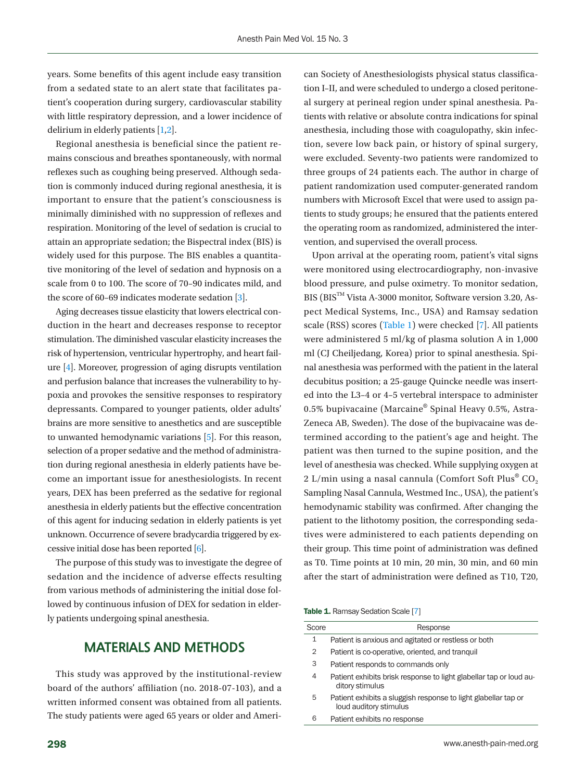years. Some benefits of this agent include easy transition from a sedated state to an alert state that facilitates patient's cooperation during surgery, cardiovascular stability with little respiratory depression, and a lower incidence of delirium in elderly patients [\[1](#page-7-0)[,2](#page-7-1)].

Regional anesthesia is beneficial since the patient remains conscious and breathes spontaneously, with normal reflexes such as coughing being preserved. Although sedation is commonly induced during regional anesthesia, it is important to ensure that the patient's consciousness is minimally diminished with no suppression of reflexes and respiration. Monitoring of the level of sedation is crucial to attain an appropriate sedation; the Bispectral index (BIS) is widely used for this purpose. The BIS enables a quantitative monitoring of the level of sedation and hypnosis on a scale from 0 to 100. The score of 70–90 indicates mild, and the score of 60–69 indicates moderate sedation [\[3](#page-7-2)].

Aging decreases tissue elasticity that lowers electrical conduction in the heart and decreases response to receptor stimulation. The diminished vascular elasticity increases the risk of hypertension, ventricular hypertrophy, and heart failure [\[4\]](#page-7-3). Moreover, progression of aging disrupts ventilation and perfusion balance that increases the vulnerability to hypoxia and provokes the sensitive responses to respiratory depressants. Compared to younger patients, older adults' brains are more sensitive to anesthetics and are susceptible to unwanted hemodynamic variations [\[5\]](#page-7-1). For this reason, selection of a proper sedative and the method of administration during regional anesthesia in elderly patients have become an important issue for anesthesiologists. In recent years, DEX has been preferred as the sedative for regional anesthesia in elderly patients but the effective concentration of this agent for inducing sedation in elderly patients is yet unknown. Occurrence of severe bradycardia triggered by excessive initial dose has been reported [\[6\]](#page-7-4).

The purpose of this study was to investigate the degree of sedation and the incidence of adverse effects resulting from various methods of administering the initial dose followed by continuous infusion of DEX for sedation in elderly patients undergoing spinal anesthesia.

### **MATERIALS AND METHODS**

This study was approved by the institutional-review board of the authors' affiliation (no. 2018-07-103), and a written informed consent was obtained from all patients. The study patients were aged 65 years or older and American Society of Anesthesiologists physical status classification I–II, and were scheduled to undergo a closed peritoneal surgery at perineal region under spinal anesthesia. Patients with relative or absolute contra indications for spinal anesthesia, including those with coagulopathy, skin infection, severe low back pain, or history of spinal surgery, were excluded. Seventy-two patients were randomized to three groups of 24 patients each. The author in charge of patient randomization used computer-generated random numbers with Microsoft Excel that were used to assign patients to study groups; he ensured that the patients entered the operating room as randomized, administered the intervention, and supervised the overall process.

Upon arrival at the operating room, patient's vital signs were monitored using electrocardiography, non-invasive blood pressure, and pulse oximetry. To monitor sedation,  $BIS$  ( $BIS<sup>TM</sup>$  Vista A-3000 monitor, Software version 3.20, Aspect Medical Systems, Inc., USA) and Ramsay sedation scale (RSS) scores [\(Table 1](#page-1-0)) were checked [\[7](#page-7-5)]. All patients were administered 5 ml/kg of plasma solution A in 1,000 ml (CJ Cheiljedang, Korea) prior to spinal anesthesia. Spinal anesthesia was performed with the patient in the lateral decubitus position; a 25-gauge Quincke needle was inserted into the L3–4 or 4–5 vertebral interspace to administer 0.5% bupivacaine (Marcaine® Spinal Heavy 0.5%, Astra-Zeneca AB, Sweden). The dose of the bupivacaine was determined according to the patient's age and height. The patient was then turned to the supine position, and the level of anesthesia was checked. While supplying oxygen at 2 L/min using a nasal cannula (Comfort Soft Plus®  $CO<sub>2</sub>$ Sampling Nasal Cannula, Westmed Inc., USA), the patient's hemodynamic stability was confirmed. After changing the patient to the lithotomy position, the corresponding sedatives were administered to each patients depending on their group. This time point of administration was defined as T0. Time points at 10 min, 20 min, 30 min, and 60 min after the start of administration were defined as T10, T20,

#### <span id="page-1-0"></span>Table 1. Ramsay Sedation Scale [[7](#page-7-5)]

| Score | Response                                                                                 |
|-------|------------------------------------------------------------------------------------------|
| 1     | Patient is anxious and agitated or restless or both                                      |
| 2     | Patient is co-operative, oriented, and tranguil                                          |
| 3     | Patient responds to commands only                                                        |
| 4     | Patient exhibits brisk response to light glabellar tap or loud au-<br>ditory stimulus    |
| 5     | Patient exhibits a sluggish response to light glabellar tap or<br>loud auditory stimulus |
| 6     | Patient exhibits no response                                                             |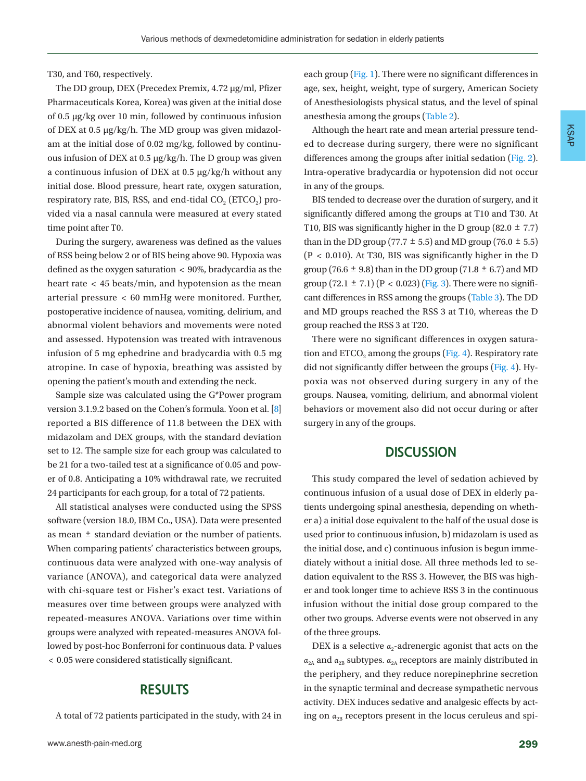T30, and T60, respectively.

The DD group, DEX (Precedex Premix, 4.72 µg/ml, Pfizer Pharmaceuticals Korea, Korea) was given at the initial dose of 0.5 μg/kg over 10 min, followed by continuous infusion of DEX at 0.5 μg/kg/h. The MD group was given midazolam at the initial dose of 0.02 mg/kg, followed by continuous infusion of DEX at 0.5 μg/kg/h. The D group was given a continuous infusion of DEX at 0.5 μg/kg/h without any initial dose. Blood pressure, heart rate, oxygen saturation, respiratory rate, BIS, RSS, and end-tidal  $CO<sub>2</sub>$  (ETCO<sub>2</sub>) provided via a nasal cannula were measured at every stated time point after T0.

During the surgery, awareness was defined as the values of RSS being below 2 or of BIS being above 90. Hypoxia was defined as the oxygen saturation < 90%, bradycardia as the heart rate < 45 beats/min, and hypotension as the mean arterial pressure < 60 mmHg were monitored. Further, postoperative incidence of nausea, vomiting, delirium, and abnormal violent behaviors and movements were noted and assessed. Hypotension was treated with intravenous infusion of 5 mg ephedrine and bradycardia with 0.5 mg atropine. In case of hypoxia, breathing was assisted by opening the patient's mouth and extending the neck.

Sample size was calculated using the G\*Power program version 3.1.9.2 based on the Cohen's formula. Yoon et al. [\[8](#page-7-3)] reported a BIS difference of 11.8 between the DEX with midazolam and DEX groups, with the standard deviation set to 12. The sample size for each group was calculated to be 21 for a two-tailed test at a significance of 0.05 and power of 0.8. Anticipating a 10% withdrawal rate, we recruited 24 participants for each group, for a total of 72 patients.

All statistical analyses were conducted using the SPSS software (version 18.0, IBM Co., USA). Data were presented as mean ± standard deviation or the number of patients. When comparing patients' characteristics between groups, continuous data were analyzed with one-way analysis of variance (ANOVA), and categorical data were analyzed with chi-square test or Fisher's exact test. Variations of measures over time between groups were analyzed with repeated-measures ANOVA. Variations over time within groups were analyzed with repeated-measures ANOVA followed by post-hoc Bonferroni for continuous data. P values < 0.05 were considered statistically significant.

### **RESULTS**

A total of 72 patients participated in the study, with 24 in

each group [\(Fig. 1\)](#page-3-0). There were no significant differences in age, sex, height, weight, type of surgery, American Society of Anesthesiologists physical status, and the level of spinal anesthesia among the groups ([Table 2](#page-3-1)).

Although the heart rate and mean arterial pressure tended to decrease during surgery, there were no significant differences among the groups after initial sedation [\(Fig. 2](#page-4-0)). Intra-operative bradycardia or hypotension did not occur in any of the groups.

BIS tended to decrease over the duration of surgery, and it significantly differed among the groups at T10 and T30. At T10, BIS was significantly higher in the D group (82.0  $\pm$  7.7) than in the DD group (77.7  $\pm$  5.5) and MD group (76.0  $\pm$  5.5) (P < 0.010). At T30, BIS was significantly higher in the D group (76.6  $\pm$  9.8) than in the DD group (71.8  $\pm$  6.7) and MD group  $(72.1 \pm 7.1)$   $(P < 0.023)$  [\(Fig. 3](#page-4-1)). There were no significant differences in RSS among the groups [\(Table 3](#page-5-0)). The DD and MD groups reached the RSS 3 at T10, whereas the D group reached the RSS 3 at T20.

There were no significant differences in oxygen satura-tion and ETCO<sub>2</sub> among the groups [\(Fig. 4\)](#page-5-1). Respiratory rate did not significantly differ between the groups [\(Fig. 4](#page-5-1)). Hypoxia was not observed during surgery in any of the groups. Nausea, vomiting, delirium, and abnormal violent behaviors or movement also did not occur during or after surgery in any of the groups.

#### **DISCUSSION**

This study compared the level of sedation achieved by continuous infusion of a usual dose of DEX in elderly patients undergoing spinal anesthesia, depending on whether a) a initial dose equivalent to the half of the usual dose is used prior to continuous infusion, b) midazolam is used as the initial dose, and c) continuous infusion is begun immediately without a initial dose. All three methods led to sedation equivalent to the RSS 3. However, the BIS was higher and took longer time to achieve RSS 3 in the continuous infusion without the initial dose group compared to the other two groups. Adverse events were not observed in any of the three groups.

DEX is a selective  $\alpha_2$ -adrenergic agonist that acts on the  $\alpha_{2A}$  and  $\alpha_{2B}$  subtypes.  $\alpha_{2A}$  receptors are mainly distributed in the periphery, and they reduce norepinephrine secretion in the synaptic terminal and decrease sympathetic nervous activity. DEX induces sedative and analgesic effects by acting on  $\alpha_{2B}$  receptors present in the locus ceruleus and spi-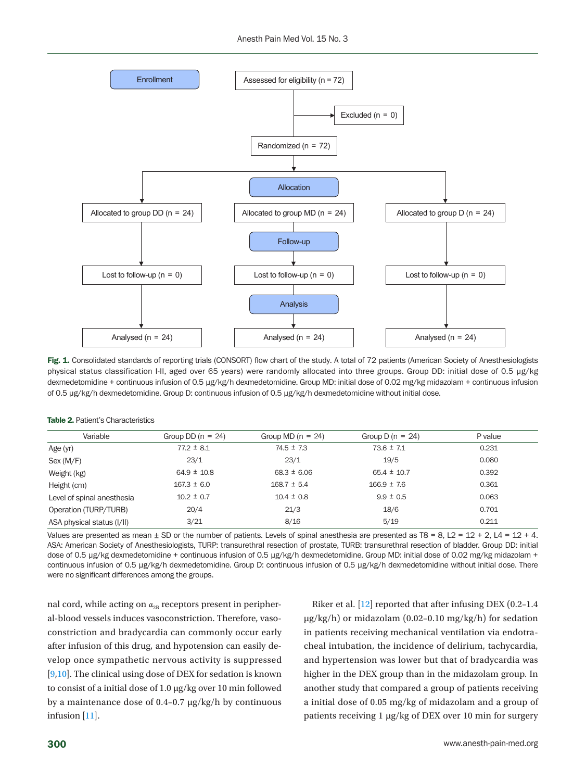<span id="page-3-0"></span>

Fig. 1. Consolidated standards of reporting trials (CONSORT) flow chart of the study. A total of 72 patients (American Society of Anesthesiologists physical status classification I-II, aged over 65 years) were randomly allocated into three groups. Group DD: initial dose of 0.5 μg/kg dexmedetomidine + continuous infusion of 0.5 μg/kg/h dexmedetomidine. Group MD: initial dose of 0.02 mg/kg midazolam + continuous infusion of 0.5 μg/kg/h dexmedetomidine. Group D: continuous infusion of 0.5 μg/kg/h dexmedetomidine without initial dose.

| Variable                   | Group DD $(n = 24)$ | Group MD $(n = 24)$ | Group D ( $n = 24$ ) | P value |
|----------------------------|---------------------|---------------------|----------------------|---------|
| Age (yr)                   | $77.2 \pm 8.1$      | $74.5 \pm 7.3$      | $73.6 \pm 7.1$       | 0.231   |
| Sex (M/F)                  | 23/1                | 23/1                | 19/5                 | 0.080   |
| Weight (kg)                | $64.9 \pm 10.8$     | $68.3 \pm 6.06$     | $65.4 \pm 10.7$      | 0.392   |
| Height (cm)                | $167.3 \pm 6.0$     | $168.7 \pm 5.4$     | $166.9 \pm 7.6$      | 0.361   |
| Level of spinal anesthesia | $10.2 \pm 0.7$      | $10.4 \pm 0.8$      | $9.9 \pm 0.5$        | 0.063   |
| Operation (TURP/TURB)      | 20/4                | 21/3                | 18/6                 | 0.701   |
| ASA physical status (I/II) | 3/21                | 8/16                | 5/19                 | 0.211   |

Values are presented as mean  $\pm$  SD or the number of patients. Levels of spinal anesthesia are presented as T8 = 8, L2 = 12 + 2, L4 = 12 + 4. ASA: American Society of Anesthesiologists, TURP: transurethral resection of prostate, TURB: transurethral resection of bladder. Group DD: initial dose of 0.5 μg/kg dexmedetomidine + continuous infusion of 0.5 μg/kg/h dexmedetomidine. Group MD: initial dose of 0.02 mg/kg midazolam + continuous infusion of 0.5 μg/kg/h dexmedetomidine. Group D: continuous infusion of 0.5 μg/kg/h dexmedetomidine without initial dose. There were no significant differences among the groups.

nal cord, while acting on  $\alpha_{2B}$  receptors present in peripheral-blood vessels induces vasoconstriction. Therefore, vasoconstriction and bradycardia can commonly occur early after infusion of this drug, and hypotension can easily develop once sympathetic nervous activity is suppressed [\[9](#page-7-6)[,10\]](#page-7-7). The clinical using dose of DEX for sedation is known to consist of a initial dose of 1.0 μg/kg over 10 min followed by a maintenance dose of 0.4–0.7 μg/kg/h by continuous infusion [[11](#page-7-8)].

Riker et al. [\[12](#page-7-9)] reported that after infusing DEX (0.2–1.4 μg/kg/h) or midazolam (0.02–0.10 mg/kg/h) for sedation in patients receiving mechanical ventilation via endotracheal intubation, the incidence of delirium, tachycardia, and hypertension was lower but that of bradycardia was higher in the DEX group than in the midazolam group. In another study that compared a group of patients receiving a initial dose of 0.05 mg/kg of midazolam and a group of patients receiving 1 μg/kg of DEX over 10 min for surgery

<span id="page-3-1"></span>Table 2. Patient's Characteristics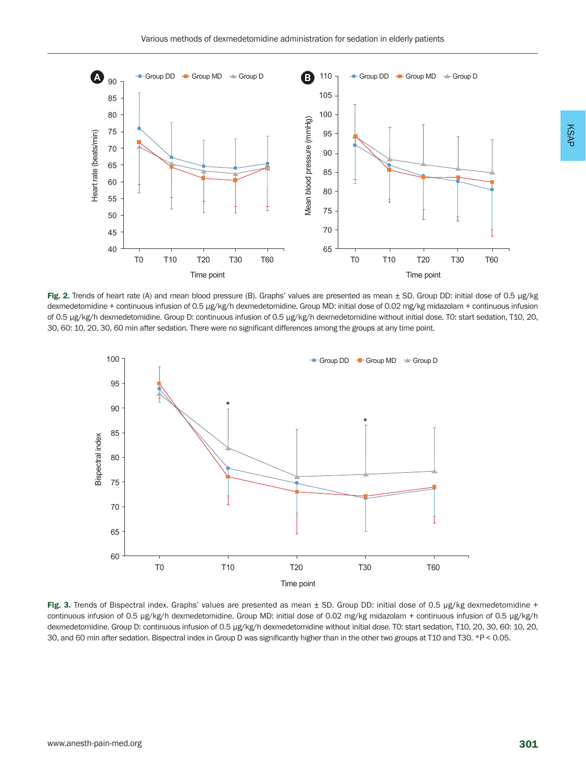<span id="page-4-0"></span>

Fig. 2. Trends of heart rate (A) and mean blood pressure (B). Graphs' values are presented as mean ± SD. Group DD: initial dose of 0.5 μg/kg dexmedetomidine + continuous infusion of 0.5 μg/kg/h dexmedetomidine. Group MD: initial dose of 0.02 mg/kg midazolam + continuous infusion of 0.5 μg/kg/h dexmedetomidine. Group D: continuous infusion of 0.5 μg/kg/h dexmedetomidine without initial dose. T0: start sedation, T10, 20, 30, 60: 10, 20, 30, 60 min after sedation. There were no significant differences among the groups at any time point.

<span id="page-4-1"></span>

Fig. 3. Trends of Bispectral index. Graphs' values are presented as mean ± SD. Group DD: initial dose of 0.5 μg/kg dexmedetomidine + continuous infusion of 0.5 μg/kg/h dexmedetomidine. Group MD: initial dose of 0.02 mg/kg midazolam + continuous infusion of 0.5 μg/kg/h dexmedetomidine. Group D: continuous infusion of 0.5 μg/kg/h dexmedetomidine without initial dose. T0: start sedation, T10, 20, 30, 60: 10, 20, 30, and 60 min after sedation. Bispectral index in Group D was significantly higher than in the other two groups at T10 and T30. \*P < 0.05.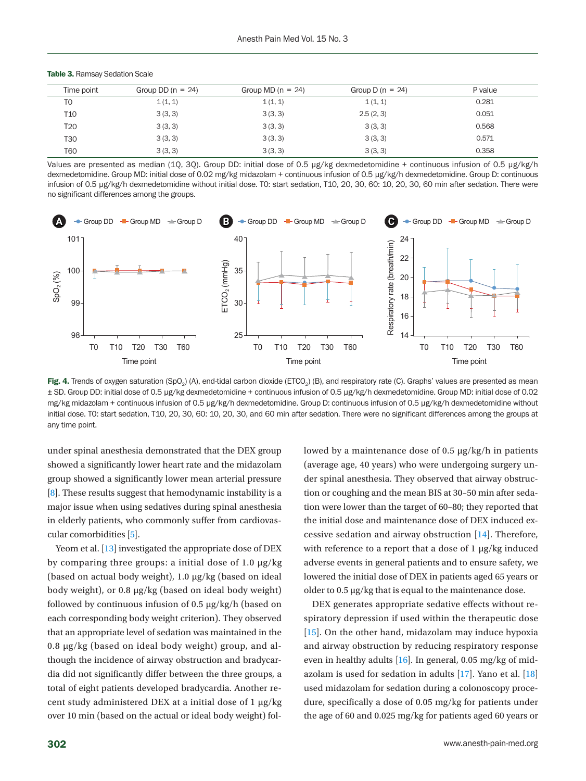| Time point | Group DD $(n = 24)$ | Group MD $(n = 24)$ | Group D $(n = 24)$ | P value |
|------------|---------------------|---------------------|--------------------|---------|
| TO         | 1(1, 1)             | 1(1, 1)             | 1(1, 1)            | 0.281   |
| T10        | 3(3, 3)             | 3(3, 3)             | 2.5(2, 3)          | 0.051   |
| T20        | 3(3, 3)             | 3(3, 3)             | 3(3, 3)            | 0.568   |
| T30        | 3(3, 3)             | 3(3, 3)             | 3(3, 3)            | 0.571   |
| T60        | 3(3, 3)             | 3(3, 3)             | 3(3, 3)            | 0.358   |

<span id="page-5-0"></span>Table 3. Ramsay Sedation Scale

Values are presented as median (1Q, 3Q). Group DD: initial dose of 0.5 μg/kg dexmedetomidine + continuous infusion of 0.5 μg/kg/h dexmedetomidine. Group MD: initial dose of 0.02 mg/kg midazolam + continuous infusion of 0.5 μg/kg/h dexmedetomidine. Group D: continuous infusion of 0.5 μg/kg/h dexmedetomidine without initial dose. T0: start sedation, T10, 20, 30, 60: 10, 20, 30, 60 min after sedation. There were no significant differences among the groups.

<span id="page-5-1"></span>

Fig. 4. Trends of oxygen saturation (SpO<sub>2</sub>) (A), end-tidal carbon dioxide (ETCO<sub>2</sub>) (B), and respiratory rate (C). Graphs' values are presented as mean ± SD. Group DD: initial dose of 0.5 μg/kg dexmedetomidine + continuous infusion of 0.5 μg/kg/h dexmedetomidine. Group MD: initial dose of 0.02 mg/kg midazolam + continuous infusion of 0.5 μg/kg/h dexmedetomidine. Group D: continuous infusion of 0.5 μg/kg/h dexmedetomidine without initial dose. T0: start sedation, T10, 20, 30, 60: 10, 20, 30, and 60 min after sedation. There were no significant differences among the groups at any time point.

under spinal anesthesia demonstrated that the DEX group showed a significantly lower heart rate and the midazolam group showed a significantly lower mean arterial pressure [8]. These results suggest that hemodynamic instability is a major issue when using sedatives during spinal anesthesia in elderly patients, who commonly suffer from cardiovascular comorbidities [5].

Yeom et al. [\[13\]](#page-7-10) investigated the appropriate dose of DEX by comparing three groups: a initial dose of 1.0 μg/kg (based on actual body weight), 1.0 μg/kg (based on ideal body weight), or 0.8 μg/kg (based on ideal body weight) followed by continuous infusion of 0.5 μg/kg/h (based on each corresponding body weight criterion). They observed that an appropriate level of sedation was maintained in the 0.8 μg/kg (based on ideal body weight) group, and although the incidence of airway obstruction and bradycardia did not significantly differ between the three groups, a total of eight patients developed bradycardia. Another recent study administered DEX at a initial dose of 1 μg/kg over 10 min (based on the actual or ideal body weight) followed by a maintenance dose of 0.5 μg/kg/h in patients (average age, 40 years) who were undergoing surgery under spinal anesthesia. They observed that airway obstruction or coughing and the mean BIS at 30–50 min after sedation were lower than the target of 60–80; they reported that the initial dose and maintenance dose of DEX induced excessive sedation and airway obstruction [\[14](#page-7-11)]. Therefore, with reference to a report that a dose of 1 μg/kg induced adverse events in general patients and to ensure safety, we lowered the initial dose of DEX in patients aged 65 years or older to 0.5 μg/kg that is equal to the maintenance dose.

DEX generates appropriate sedative effects without respiratory depression if used within the therapeutic dose [\[15\]](#page-7-12). On the other hand, midazolam may induce hypoxia and airway obstruction by reducing respiratory response even in healthy adults [\[16](#page-7-13)]. In general, 0.05 mg/kg of midazolam is used for sedation in adults [\[17](#page-7-14)]. Yano et al. [\[18](#page-7-15)] used midazolam for sedation during a colonoscopy procedure, specifically a dose of 0.05 mg/kg for patients under the age of 60 and 0.025 mg/kg for patients aged 60 years or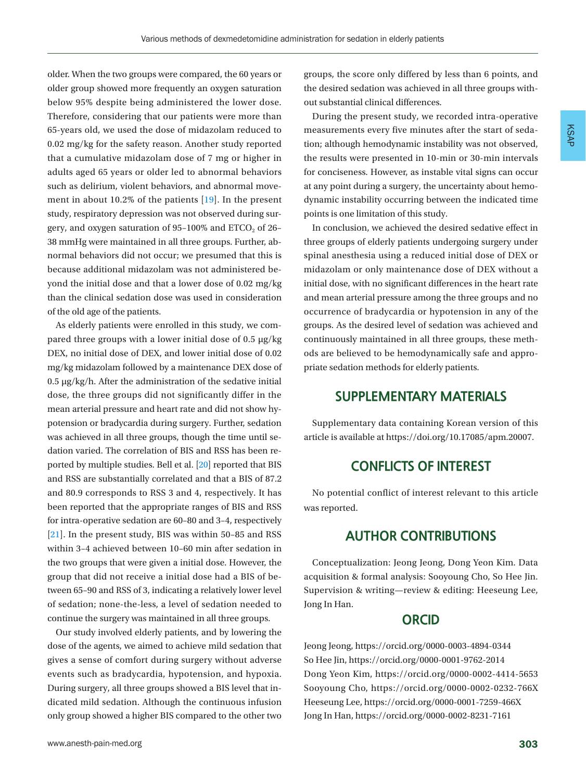older. When the two groups were compared, the 60 years or older group showed more frequently an oxygen saturation below 95% despite being administered the lower dose. Therefore, considering that our patients were more than 65-years old, we used the dose of midazolam reduced to 0.02 mg/kg for the safety reason. Another study reported that a cumulative midazolam dose of 7 mg or higher in adults aged 65 years or older led to abnormal behaviors such as delirium, violent behaviors, and abnormal movement in about 10.2% of the patients [\[19\]](#page-7-16). In the present study, respiratory depression was not observed during surgery, and oxygen saturation of  $95-100\%$  and  $ETCO<sub>2</sub>$  of 26– 38 mmHg were maintained in all three groups. Further, abnormal behaviors did not occur; we presumed that this is because additional midazolam was not administered beyond the initial dose and that a lower dose of 0.02 mg/kg than the clinical sedation dose was used in consideration of the old age of the patients.

As elderly patients were enrolled in this study, we compared three groups with a lower initial dose of 0.5 μg/kg DEX, no initial dose of DEX, and lower initial dose of 0.02 mg/kg midazolam followed by a maintenance DEX dose of 0.5 μg/kg/h. After the administration of the sedative initial dose, the three groups did not significantly differ in the mean arterial pressure and heart rate and did not show hypotension or bradycardia during surgery. Further, sedation was achieved in all three groups, though the time until sedation varied. The correlation of BIS and RSS has been reported by multiple studies. Bell et al. [\[20\]](#page-7-17) reported that BIS and RSS are substantially correlated and that a BIS of 87.2 and 80.9 corresponds to RSS 3 and 4, respectively. It has been reported that the appropriate ranges of BIS and RSS for intra-operative sedation are 60–80 and 3–4, respectively [\[21](#page-7-18)]. In the present study, BIS was within 50–85 and RSS within 3–4 achieved between 10–60 min after sedation in the two groups that were given a initial dose. However, the group that did not receive a initial dose had a BIS of between 65–90 and RSS of 3, indicating a relatively lower level of sedation; none-the-less, a level of sedation needed to continue the surgery was maintained in all three groups.

Our study involved elderly patients, and by lowering the dose of the agents, we aimed to achieve mild sedation that gives a sense of comfort during surgery without adverse events such as bradycardia, hypotension, and hypoxia. During surgery, all three groups showed a BIS level that indicated mild sedation. Although the continuous infusion only group showed a higher BIS compared to the other two

groups, the score only differed by less than 6 points, and the desired sedation was achieved in all three groups without substantial clinical differences.

During the present study, we recorded intra-operative measurements every five minutes after the start of sedation; although hemodynamic instability was not observed, the results were presented in 10-min or 30-min intervals for conciseness. However, as instable vital signs can occur at any point during a surgery, the uncertainty about hemodynamic instability occurring between the indicated time points is one limitation of this study.

In conclusion, we achieved the desired sedative effect in three groups of elderly patients undergoing surgery under spinal anesthesia using a reduced initial dose of DEX or midazolam or only maintenance dose of DEX without a initial dose, with no significant differences in the heart rate and mean arterial pressure among the three groups and no occurrence of bradycardia or hypotension in any of the groups. As the desired level of sedation was achieved and continuously maintained in all three groups, these methods are believed to be hemodynamically safe and appropriate sedation methods for elderly patients.

#### **SUPPLEMENTARY MATERIALS**

Supplementary data containing Korean version of this article is available at https://doi.org/10.17085/apm.20007.

#### **CONFLICTS OF INTEREST**

No potential conflict of interest relevant to this article was reported.

#### **AUTHOR CONTRIBUTIONS**

Conceptualization: Jeong Jeong, Dong Yeon Kim. Data acquisition & formal analysis: Sooyoung Cho, So Hee Jin. Supervision & writing—review & editing: Heeseung Lee, Jong In Han.

#### **ORCID**

Jeong Jeong, [https://orcid.org/0000-0003-4894-0344](http://orcid.org/0000-0003-4894-0344) So Hee Jin, [https://orcid.org/0000-0001-9762-201](http://orcid.org/0000-0001-9762-2014)4 Dong Yeon Kim, [https://orcid.org/0000-0002-4414-565](http://orcid.org/0000-0002-4414-5653)3 Sooyoung Cho, [https://orcid.org/0000-0002-0232-766](http://orcid.org/0000-0002-0232-766X)X Heeseung Lee, [https://orcid.org/0000-0001-7259-466](http://orcid.org/0000-0001-7259-466X)X Jong In Han, [https://orcid.org/0000-0002-8231-716](http://orcid.org/0000-0002-8231-7161)1